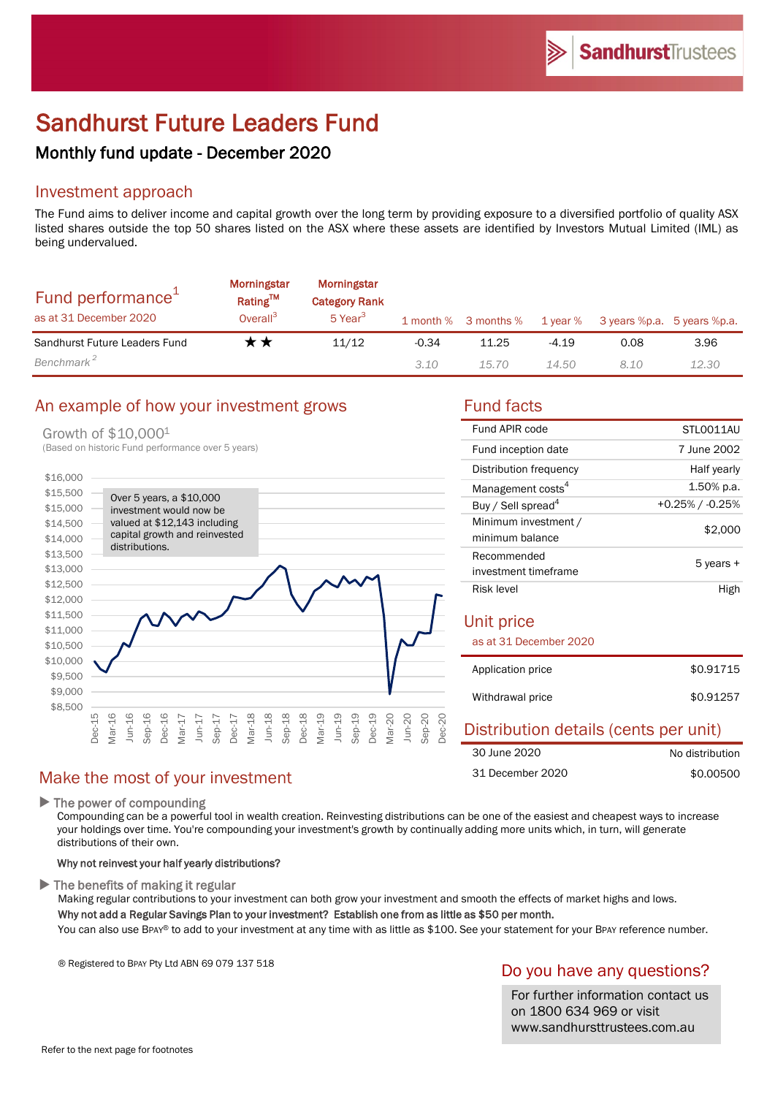# Sandhurst Future Leaders Fund

# Monthly fund update - December 2020

# Investment approach

The Fund aims to deliver income and capital growth over the long term by providing exposure to a diversified portfolio of quality ASX listed shares outside the top 50 shares listed on the ASX where these assets are identified by Investors Mutual Limited (IML) as being undervalued.

| Fund performance <sup>1</sup><br>as at 31 December 2020 | <b>Morningstar</b><br>Rating <sup>TM</sup><br>Overall <sup>3</sup> | Morningstar<br><b>Category Rank</b><br>5 Year <sup>3</sup> |         | 1 month % 3 months % | 1 year % | 3 years %p.a. 5 years %p.a. |       |
|---------------------------------------------------------|--------------------------------------------------------------------|------------------------------------------------------------|---------|----------------------|----------|-----------------------------|-------|
| Sandhurst Future Leaders Fund                           | r *                                                                | 11/12                                                      | $-0.34$ | 11.25                | -4.19    | 0.08                        | 3.96  |
| Benchmark <sup>2</sup>                                  |                                                                    |                                                            | 3.10    | 15.70                | 14.50    | 8.10                        | 12.30 |

# An example of how your investment grows Fund facts

#### Growth of \$10,0001



30 June 2020

31 December 2020

| Fund APIR code                          | STLO011AU          |  |  |  |
|-----------------------------------------|--------------------|--|--|--|
| Fund inception date                     | 7 June 2002        |  |  |  |
| Distribution frequency                  | Half yearly        |  |  |  |
| Management costs <sup>4</sup>           | 1.50% p.a.         |  |  |  |
| Buy / Sell spread <sup>4</sup>          | $+0.25\%$ / -0.25% |  |  |  |
| Minimum investment /<br>minimum balance | \$2,000            |  |  |  |
| Recommended                             | 5 years +          |  |  |  |
| investment timeframe                    |                    |  |  |  |
| Risk level                              | High               |  |  |  |
| Unit price<br>as at 31 December 2020    |                    |  |  |  |
| Application price                       | \$0.91715          |  |  |  |
| Withdrawal price                        | \$0.91257          |  |  |  |
| Distribution details (cents per unit)   |                    |  |  |  |

No distribution \$0.00500

# Make the most of your investment

 $\blacktriangleright$  The power of compounding

Compounding can be a powerful tool in wealth creation. Reinvesting distributions can be one of the easiest and cheapest ways to increase your holdings over time. You're compounding your investment's growth by continually adding more units which, in turn, will generate distributions of their own.

### Why not reinvest your half yearly distributions?

 $\blacktriangleright$  The benefits of making it regular

Making regular contributions to your investment can both grow your investment and smooth the effects of market highs and lows. Why not add a Regular Savings Plan to your investment? Establish one from as little as \$50 per month.

You can also use BPAY® to add to your investment at any time with as little as \$100. See your statement for your BPAY reference number.

® Registered to BPAY Pty Ltd ABN 69 079 137 518

# Do you have any questions?

For further information contact us on 1800 634 969 or visit www.sandhursttrustees.com.au